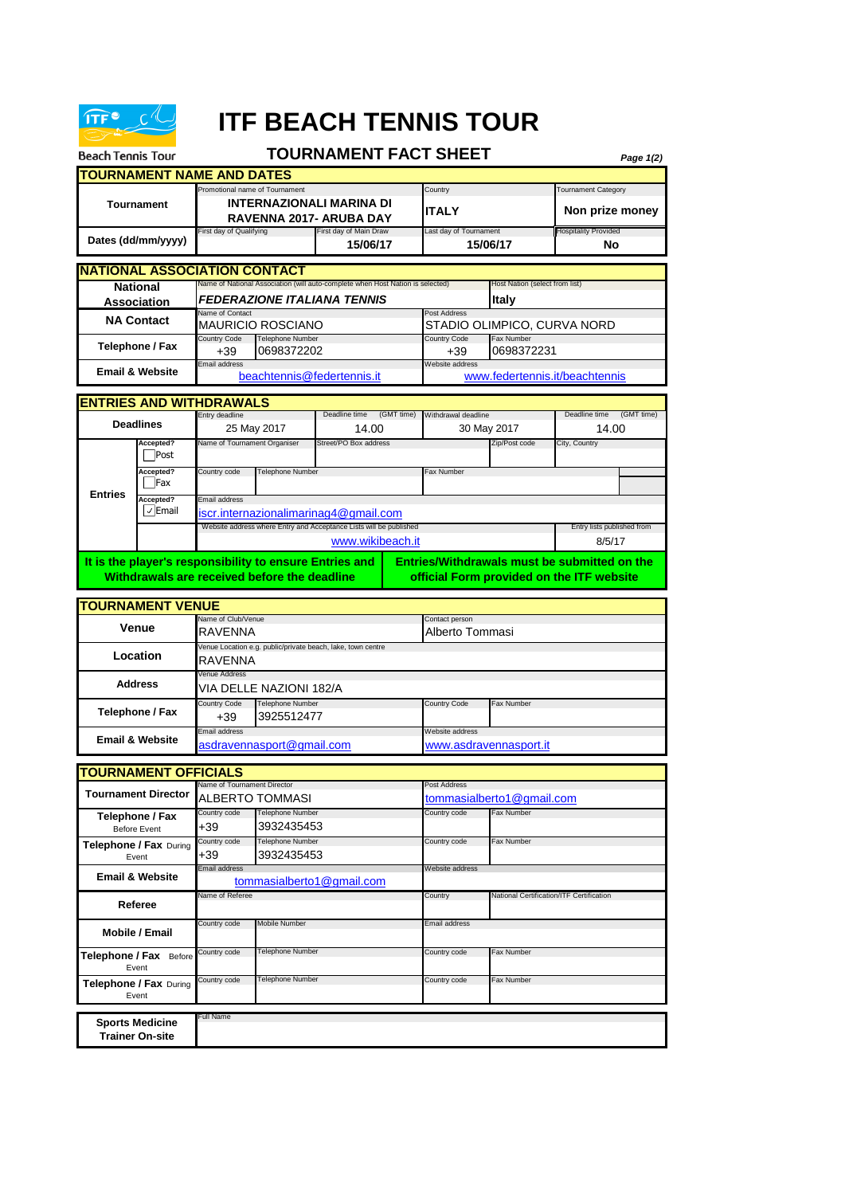

**Trainer On-site**

## **ITF BEACH TENNIS TOUR**

| <b>Beach Tennis Tour</b>                      |                                      |                                                                                                     |                                              | <b>TOURNAMENT FACT SHEET</b>                                                   |                                    |                                                     |                                   | Page 1(2)                                 |  |  |
|-----------------------------------------------|--------------------------------------|-----------------------------------------------------------------------------------------------------|----------------------------------------------|--------------------------------------------------------------------------------|------------------------------------|-----------------------------------------------------|-----------------------------------|-------------------------------------------|--|--|
|                                               | <b>TOURNAMENT NAME AND DATES</b>     |                                                                                                     |                                              |                                                                                |                                    |                                                     |                                   |                                           |  |  |
| <b>Tournament</b>                             |                                      | Promotional name of Tournament<br><b>INTERNAZIONALI MARINA DI</b><br><b>RAVENNA 2017- ARUBA DAY</b> |                                              |                                                                                |                                    | Country<br><b>ITALY</b>                             |                                   | Tournament Category<br>Non prize money    |  |  |
| Dates (dd/mm/yyyy)                            |                                      | First day of Main Draw<br>First day of Qualifying<br>15/06/17                                       |                                              |                                                                                | Last day of Tournament<br>15/06/17 |                                                     | <b>Hospitality Provided</b><br>No |                                           |  |  |
|                                               | <b>INATIONAL ASSOCIATION CONTACT</b> |                                                                                                     |                                              | Name of National Association (will auto-complete when Host Nation is selected) |                                    |                                                     |                                   |                                           |  |  |
| <b>National</b><br>Association                |                                      |                                                                                                     |                                              | FEDERAZIONE ITALIANA TENNIS                                                    |                                    | Host Nation (select from list)<br><b>Italy</b>      |                                   |                                           |  |  |
| <b>NA Contact</b>                             |                                      | Name of Contact<br>MAURICIO ROSCIANO                                                                |                                              |                                                                                |                                    | Post Address<br>STADIO OLIMPICO, CURVA NORD         |                                   |                                           |  |  |
| Telephone / Fax                               |                                      | Country Code<br>Telephone Number<br>0698372202<br>$+39$                                             |                                              |                                                                                |                                    | <b>Country Code</b><br>$+39$                        | Fax Number<br>0698372231          |                                           |  |  |
| <b>Email &amp; Website</b>                    |                                      | Email address<br>beachtennis@federtennis.it                                                         |                                              |                                                                                |                                    | Website address<br>www.federtennis.it/beachtennis   |                                   |                                           |  |  |
|                                               | <b>ENTRIES AND WITHDRAWALS</b>       |                                                                                                     |                                              |                                                                                |                                    |                                                     |                                   |                                           |  |  |
|                                               | <b>Deadlines</b>                     | Entry deadline<br>25 May 2017                                                                       |                                              | Deadline time<br>(GMT time)<br>14.00                                           |                                    | Withdrawal deadline<br>30 May 2017                  |                                   | Deadline time<br>(GMT time)<br>14.00      |  |  |
| <b>Entries</b>                                | Accepted?<br>Post                    | Name of Tournament Organiser                                                                        |                                              | Street/PO Box address                                                          |                                    | Zip/Post code                                       |                                   | City, Country                             |  |  |
|                                               | Accepted?<br>Fax                     | Country code                                                                                        | <b>Telephone Number</b>                      |                                                                                |                                    | <b>Fax Number</b>                                   |                                   |                                           |  |  |
|                                               | Accepted?<br>√ Email                 | Email address<br>iscr.internazionalimarinag4@gmail.com                                              |                                              |                                                                                |                                    |                                                     |                                   |                                           |  |  |
|                                               |                                      |                                                                                                     |                                              | Website address where Entry and Acceptance Lists will be published             |                                    |                                                     |                                   | Entry lists published from<br>8/5/17      |  |  |
|                                               |                                      | www.wikibeach.it<br>It is the player's responsibility to ensure Entries and                         |                                              |                                                                                |                                    | <b>Entries/Withdrawals must be submitted on the</b> |                                   |                                           |  |  |
|                                               |                                      |                                                                                                     | Withdrawals are received before the deadline |                                                                                |                                    |                                                     |                                   | official Form provided on the ITF website |  |  |
|                                               | <b>TOURNAMENT VENUE</b>              |                                                                                                     |                                              |                                                                                |                                    |                                                     |                                   |                                           |  |  |
|                                               | <b>Venue</b>                         | Name of Club/Venue<br>RAVENNA                                                                       |                                              |                                                                                |                                    | Contact person<br>Alberto Tommasi                   |                                   |                                           |  |  |
| Location                                      |                                      | Venue Location e.g. public/private beach, lake, town centre<br>RAVENNA                              |                                              |                                                                                |                                    |                                                     |                                   |                                           |  |  |
| <b>Address</b>                                |                                      | Venue Address<br>VIA DELLE NAZIONI 182/A                                                            |                                              |                                                                                |                                    |                                                     |                                   |                                           |  |  |
| Telephone / Fax                               |                                      | Country Code<br>$+39$                                                                               | <b>Telephone Number</b><br>3925512477        |                                                                                |                                    | <b>Country Code</b>                                 | Fax Number                        |                                           |  |  |
| <b>Email &amp; Website</b>                    |                                      | Email address<br>asdravennasport@gmail.com                                                          |                                              |                                                                                |                                    | Website address<br>www.asdravennasport.it           |                                   |                                           |  |  |
|                                               | <b>TOURNAMENT OFFICIALS</b>          |                                                                                                     |                                              |                                                                                |                                    |                                                     |                                   |                                           |  |  |
|                                               | <b>Tournament Director</b>           | Name of Tournament Director<br>ALBERTO TOMMASI                                                      |                                              |                                                                                |                                    | Post Address                                        | tommasialberto1@gmail.com         |                                           |  |  |
| Telephone / Fax                               |                                      | Country code<br>+39                                                                                 | Telephone Number<br>3932435453               |                                                                                |                                    | Country code                                        | Fax Number                        |                                           |  |  |
| <b>Before Event</b><br>Telephone / Fax During |                                      | Country code                                                                                        | Telephone Number                             |                                                                                |                                    | Country code                                        | Fax Number                        |                                           |  |  |
| Event<br><b>Email &amp; Website</b>           |                                      | +39<br>3932435453<br>Email address<br>tommasialberto1@gmail.com                                     |                                              |                                                                                |                                    | Website address                                     |                                   |                                           |  |  |
| Referee                                       |                                      | Name of Referee                                                                                     |                                              |                                                                                |                                    | Country<br>National Certification/ITF Certification |                                   |                                           |  |  |
| Mobile / Email                                |                                      | Country code                                                                                        | Mobile Number                                |                                                                                |                                    | Email address                                       |                                   |                                           |  |  |
| Telephone / Fax Before                        |                                      | Country code                                                                                        | Telephone Number                             |                                                                                |                                    | Country code                                        | Fax Number                        |                                           |  |  |
| Event<br><b>Telephone / Fax During</b>        |                                      | Country code                                                                                        | Telephone Number                             |                                                                                |                                    | Country code                                        | Fax Number                        |                                           |  |  |
|                                               | Event                                |                                                                                                     |                                              |                                                                                |                                    |                                                     |                                   |                                           |  |  |
|                                               | <b>Sports Medicine</b>               | Full Name                                                                                           |                                              |                                                                                |                                    |                                                     |                                   |                                           |  |  |